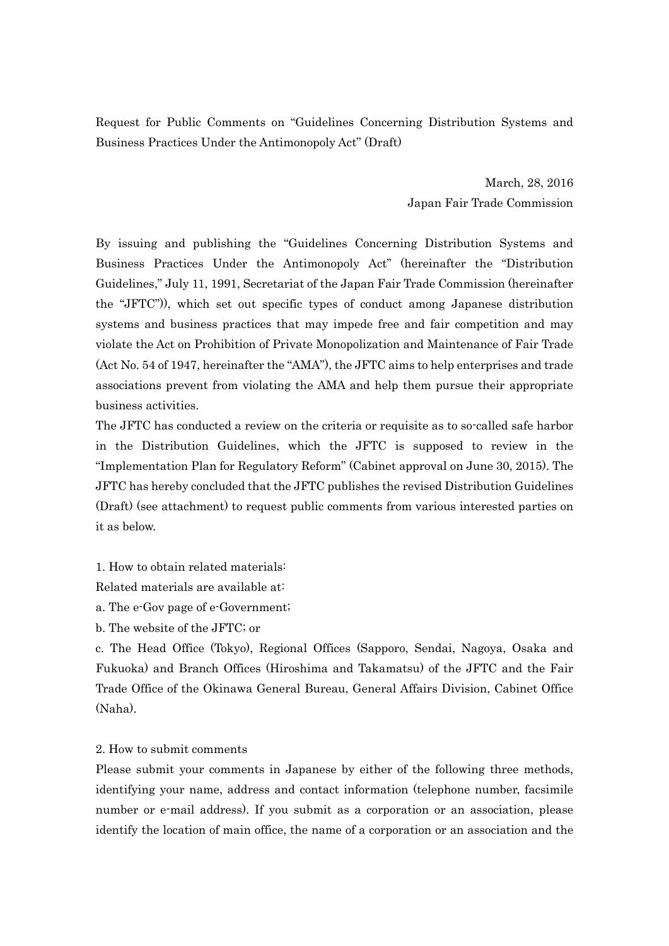Request for Public Comments on "Guidelines Concerning Distribution Systems and Business Practices Under the Antimonopoly Act" (Draft)

> March, 28, 2016 Japan Fair Trade Commission

By issuing and publishing the "Guidelines Concerning Distribution Systems and Business Practices Under the Antimonopoly Act" (hereinafter the "Distribution Guidelines," July 11, 1991, Secretariat of the Japan Fair Trade Commission (hereinafter the "JFTC")), which set out specific types of conduct among Japanese distribution systems and business practices that may impede free and fair competition and may violate the Act on Prohibition of Private Monopolization and Maintenance of Fair Trade (Act No. 54 of 1947, hereinafter the "AMA"), the JFTC aims to help enterprises and trade associations prevent from violating the AMA and help them pursue their appropriate business activities.

The JFTC has conducted a review on the criteria or requisite as to so-called safe harbor in the Distribution Guidelines, which the JFTC is supposed to review in the "Implementation Plan for Regulatory Reform" (Cabinet approval on June 30, 2015). The JFTC has hereby concluded that the JFTC publishes the revised Distribution Guidelines (Draft) (see attachment) to request public comments from various interested parties on it as below.

1. How to obtain related materials:

Related materials are available at:

a. The e-Gov page of e-Government;

b. The website of the JFTC; or

c. The Head Office (Tokyo), Regional Offices (Sapporo, Sendai, Nagoya, Osaka and Fukuoka) and Branch Offices (Hiroshima and Takamatsu) of the JFTC and the Fair Trade Office of the Okinawa General Bureau, General Affairs Division, Cabinet Office (Naha).

2. How to submit comments

Please submit your comments in Japanese by either of the following three methods, identifying your name, address and contact information (telephone number, facsimile number or e-mail address). If you submit as a corporation or an association, please identify the location of main office, the name of a corporation or an association and the